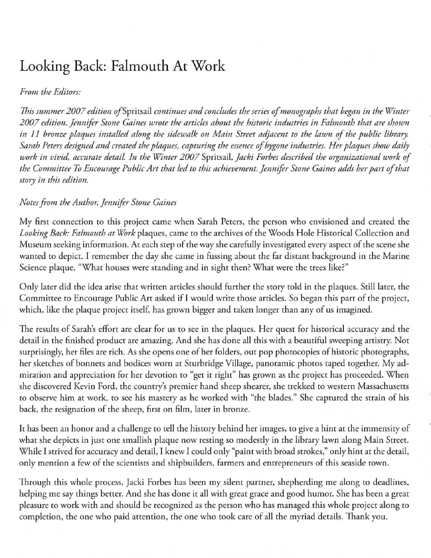# **Looking Back: Falmouth At Work**

### *From the Editors:*

*This summer 2007 edition of Spritsail continues and concludes the series of monographs that began in the Winter* 2007 edition. Jennifer Stone Gaines wrote the articles about the historic industries in Falmouth that are shown *in 11 bronze plaques installed along the sidewalk on Main Street adjacent to the lawn of the public library. Sarah Peters designed and created the plaques, capturing the essence of bygone industries. Her plaques show daily work in vivid, accurate detail. In the Winter 2007 Spritsail, Jacki Forbes described the organizational work of* the Committee To Encourage Public Art that led to this achievement. Jennifer Stone Gaines adds her part of that *story in this edition.* 

### *Notes from the Autho,; Jennifer Stone Caines*

My first connection to this project came when Sarah Peters, the person who envisioned and created the Looking Back: Falmouth at Work plaques, came to the archives of the Woods Hole Historical Collection and Museum seeking information. At each step of the way she carefully investigated every aspect of the scene she wanted to depict. I remember the day she came in fussing about the far distant background in the Marine Science plaque. "What houses were standing and in sight then? What were the trees like?"

Only later did the idea arise that written articles should further the story told in the plaques. Still later, the Committee to Encourage Public Art asked if I would write those articles. So began this part of the project, which, like the plaque project itself, has grown bigger and taken longer than any of us imagined.

The results of Sarah's effort are clear for us to see in the plaques. Her quest for historical accuracy and the detail in the finished product are amazing. And she has done all this with a beautiful sweeping artistry. Not surprisingly, her files are rich. As she opens one of her folders, out pop photocopies of historic photographs, her sketches of bonnets and bodices worn at Sturbridge Village, panoramic photos taped together. My admiration and appreciation for her devotion to "get it right" has grown as the project has proceeded. When she discovered Kevin Ford, the country's premier hand sheep shearer, she trekked to western Massachusetts to observe him at work, to see his mastery as he worked with "the blades." She captured the strain of his back, the resignation of the sheep, first on film, later in bronze.

It has been an honor and a challenge to tell the history behind her images, to give a hint at the immensity of what she depicts in just one smallish plaque now resting so modestly in the library lawn along Main Street. While I strived for accuracy and detail, I knew I could only "paint with broad strokes," only hint at the detail, only mention a few of the scientists and shipbuilders, farmers and entrepreneurs of this seaside town.

Through this whole process, Jacki Forbes has been my silent partner, shepherding me along to deadlines, helping me say things better. And she has done it all with great grace and good humor. She has been a great pleasure to work with and should be recognized as the person who has managed this whole project along to completion, the one who paid attention, rhe one who took care of all the myriad details. Thank you.